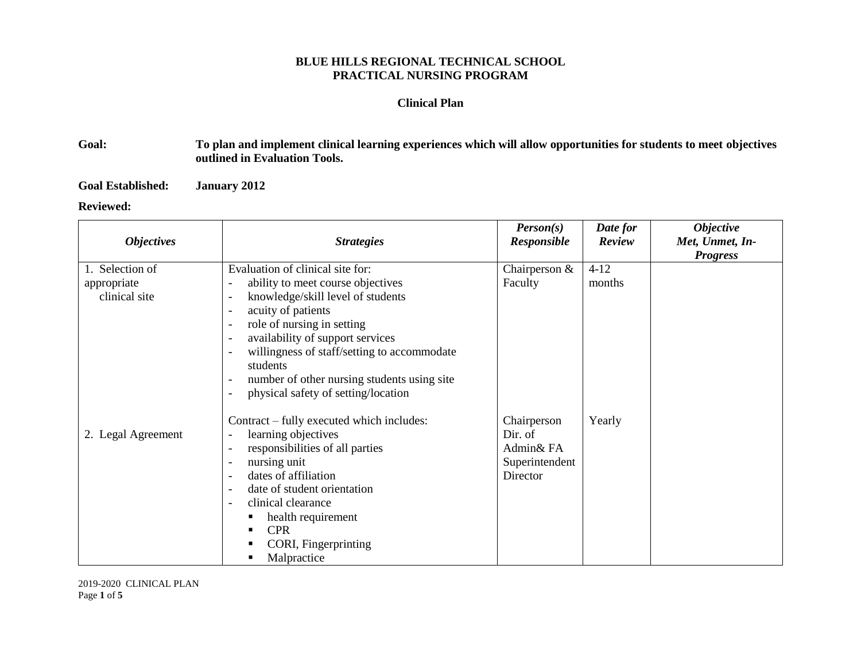## **BLUE HILLS REGIONAL TECHNICAL SCHOOL PRACTICAL NURSING PROGRAM**

## **Clinical Plan**

## **Goal: To plan and implement clinical learning experiences which will allow opportunities for students to meet objectives outlined in Evaluation Tools.**

**Goal Established: January 2012**

## **Reviewed:**

| <b>Objectives</b>                               | <b>Strategies</b>                                                                                                                                                                                                                                                                                                                                                                                                                                                                                                                                       | Person(s)<br><b>Responsible</b>                                   | Date for<br>Review | <b>Objective</b><br>Met, Unmet, In-<br><b>Progress</b> |
|-------------------------------------------------|---------------------------------------------------------------------------------------------------------------------------------------------------------------------------------------------------------------------------------------------------------------------------------------------------------------------------------------------------------------------------------------------------------------------------------------------------------------------------------------------------------------------------------------------------------|-------------------------------------------------------------------|--------------------|--------------------------------------------------------|
| 1. Selection of<br>appropriate<br>clinical site | Evaluation of clinical site for:<br>ability to meet course objectives<br>$\overline{\phantom{a}}$<br>knowledge/skill level of students<br>$\overline{\phantom{a}}$<br>acuity of patients<br>$\overline{\phantom{0}}$<br>role of nursing in setting<br>$\overline{\phantom{0}}$<br>availability of support services<br>$\overline{\phantom{a}}$<br>willingness of staff/setting to accommodate<br>$\overline{\phantom{a}}$<br>students<br>number of other nursing students using site<br>physical safety of setting/location<br>$\overline{\phantom{a}}$ | Chairperson &<br>Faculty                                          | $4 - 12$<br>months |                                                        |
| 2. Legal Agreement                              | Contract – fully executed which includes:<br>learning objectives<br>$\qquad \qquad \blacksquare$<br>responsibilities of all parties<br>nursing unit<br>$\overline{\phantom{a}}$<br>dates of affiliation<br>$\overline{\phantom{a}}$<br>date of student orientation<br>$\overline{\phantom{a}}$<br>clinical clearance<br>$\overline{\phantom{a}}$<br>health requirement<br><b>CPR</b><br>CORI, Fingerprinting<br>Malpractice                                                                                                                             | Chairperson<br>Dir. of<br>Admin& FA<br>Superintendent<br>Director | Yearly             |                                                        |

2019-2020 CLINICAL PLAN Page **1** of **5**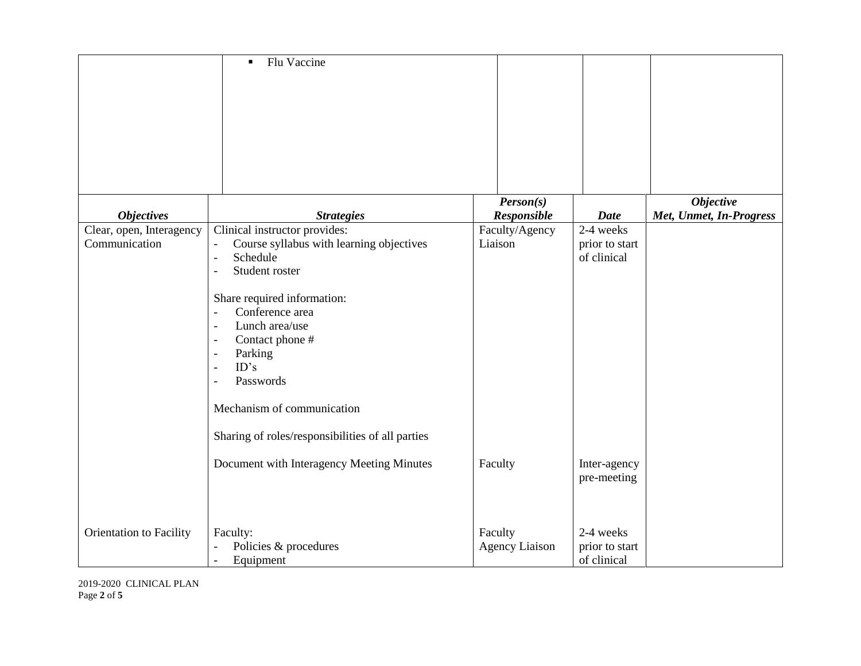|                                           | Flu Vaccine<br>٠                                                                                                                                                                                                                                                                                                                                                                                                     |                                  |                                            |                         |
|-------------------------------------------|----------------------------------------------------------------------------------------------------------------------------------------------------------------------------------------------------------------------------------------------------------------------------------------------------------------------------------------------------------------------------------------------------------------------|----------------------------------|--------------------------------------------|-------------------------|
|                                           |                                                                                                                                                                                                                                                                                                                                                                                                                      |                                  |                                            |                         |
|                                           |                                                                                                                                                                                                                                                                                                                                                                                                                      |                                  |                                            |                         |
|                                           |                                                                                                                                                                                                                                                                                                                                                                                                                      | Person(s)                        |                                            | <b>Objective</b>        |
| <b>Objectives</b>                         | <b>Strategies</b>                                                                                                                                                                                                                                                                                                                                                                                                    | Responsible                      | <b>Date</b>                                | Met, Unmet, In-Progress |
| Clear, open, Interagency<br>Communication | Clinical instructor provides:<br>Course syllabus with learning objectives<br>$\blacksquare$<br>Schedule<br>$\blacksquare$<br>Student roster<br>$\overline{a}$<br>Share required information:<br>Conference area<br>$\blacksquare$<br>Lunch area/use<br>$\overline{\phantom{a}}$<br>Contact phone #<br>Parking<br>ID's<br>Passwords<br>Mechanism of communication<br>Sharing of roles/responsibilities of all parties | Faculty/Agency<br>Liaison        | 2-4 weeks<br>prior to start<br>of clinical |                         |
|                                           | Document with Interagency Meeting Minutes                                                                                                                                                                                                                                                                                                                                                                            | Faculty                          | Inter-agency<br>pre-meeting                |                         |
| Orientation to Facility                   | Faculty:<br>Policies & procedures<br>$\blacksquare$<br>Equipment<br>$\blacksquare$                                                                                                                                                                                                                                                                                                                                   | Faculty<br><b>Agency Liaison</b> | 2-4 weeks<br>prior to start<br>of clinical |                         |

2019-2020 CLINICAL PLAN Page **2** of **5**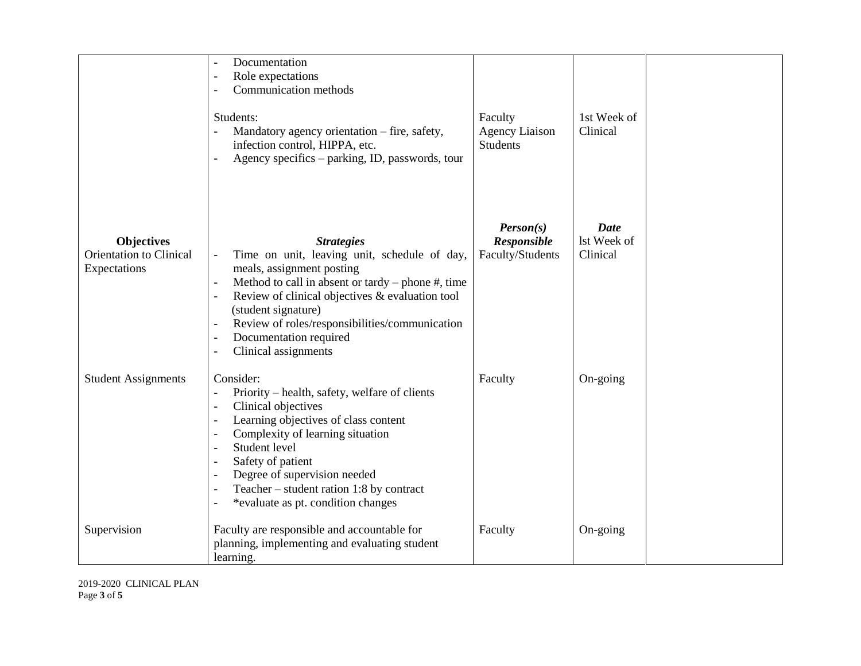|                                                              | Documentation<br>$\overline{\phantom{a}}$                                                                                                                                                                                                                                                                                                                                                                                                                                                                                                                                                                                               |                                                     |                                        |  |
|--------------------------------------------------------------|-----------------------------------------------------------------------------------------------------------------------------------------------------------------------------------------------------------------------------------------------------------------------------------------------------------------------------------------------------------------------------------------------------------------------------------------------------------------------------------------------------------------------------------------------------------------------------------------------------------------------------------------|-----------------------------------------------------|----------------------------------------|--|
|                                                              | Role expectations<br>$\overline{\phantom{a}}$<br>Communication methods<br>$\overline{\phantom{a}}$                                                                                                                                                                                                                                                                                                                                                                                                                                                                                                                                      |                                                     |                                        |  |
|                                                              | Students:<br>Mandatory agency orientation – fire, safety,<br>$\overline{a}$<br>infection control, HIPPA, etc.<br>Agency specifics – parking, ID, passwords, tour<br>$\sim$                                                                                                                                                                                                                                                                                                                                                                                                                                                              | Faculty<br><b>Agency Liaison</b><br><b>Students</b> | 1st Week of<br>Clinical                |  |
| <b>Objectives</b><br>Orientation to Clinical<br>Expectations | <b>Strategies</b><br>Time on unit, leaving unit, schedule of day,<br>$\blacksquare$<br>meals, assignment posting<br>Method to call in absent or tardy – phone $#$ , time<br>$\overline{\phantom{a}}$<br>Review of clinical objectives & evaluation tool<br>$\overline{\phantom{a}}$<br>(student signature)<br>Review of roles/responsibilities/communication<br>$\overline{\phantom{a}}$<br>Documentation required<br>$\overline{\phantom{a}}$                                                                                                                                                                                          | Person(s)<br>Responsible<br>Faculty/Students        | <b>Date</b><br>lst Week of<br>Clinical |  |
| <b>Student Assignments</b>                                   | Clinical assignments<br>$\overline{\phantom{a}}$<br>Consider:<br>Priority – health, safety, welfare of clients<br>$\overline{\phantom{a}}$<br>Clinical objectives<br>$\overline{\phantom{a}}$<br>Learning objectives of class content<br>$\overline{\phantom{a}}$<br>Complexity of learning situation<br>$\overline{\phantom{a}}$<br>Student level<br>$\overline{\phantom{a}}$<br>Safety of patient<br>$\overline{\phantom{a}}$<br>Degree of supervision needed<br>$\overline{\phantom{a}}$<br>Teacher $-$ student ration 1:8 by contract<br>$\overline{\phantom{a}}$<br>*evaluate as pt. condition changes<br>$\overline{\phantom{a}}$ | Faculty                                             | On-going                               |  |
| Supervision                                                  | Faculty are responsible and accountable for<br>planning, implementing and evaluating student<br>learning.                                                                                                                                                                                                                                                                                                                                                                                                                                                                                                                               | Faculty                                             | On-going                               |  |

2019-2020 CLINICAL PLAN Page **3** of **5**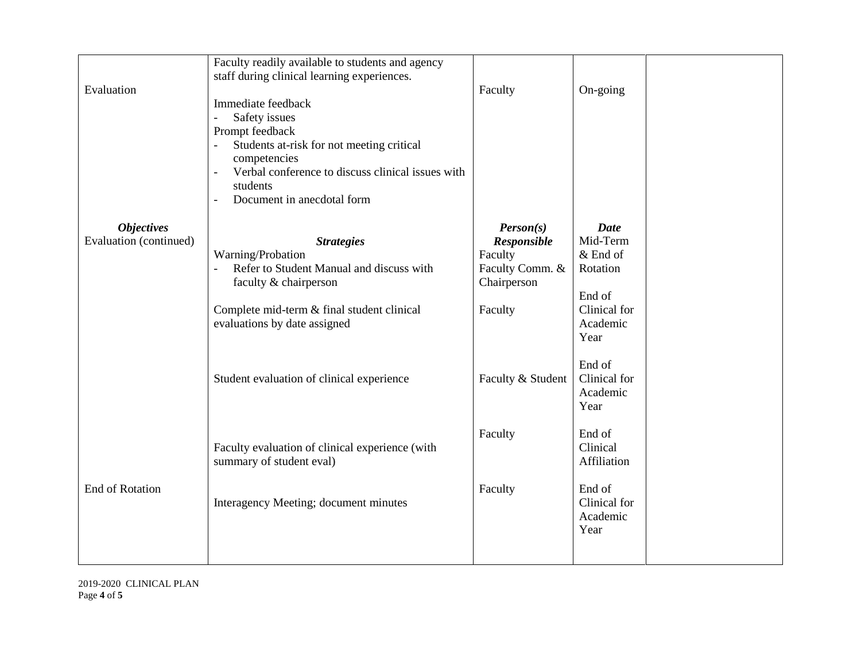| Evaluation                                  | Faculty readily available to students and agency<br>staff during clinical learning experiences.<br>Immediate feedback<br>Safety issues<br>Prompt feedback<br>Students at-risk for not meeting critical<br>competencies<br>Verbal conference to discuss clinical issues with<br>$\overline{\phantom{a}}$<br>students | Faculty                                                                          | On-going                                                                                        |
|---------------------------------------------|---------------------------------------------------------------------------------------------------------------------------------------------------------------------------------------------------------------------------------------------------------------------------------------------------------------------|----------------------------------------------------------------------------------|-------------------------------------------------------------------------------------------------|
| <b>Objectives</b><br>Evaluation (continued) | Document in anecdotal form<br>$\sim$<br><b>Strategies</b><br>Warning/Probation<br>Refer to Student Manual and discuss with<br>$\mathbb{L}$<br>faculty & chairperson<br>Complete mid-term & final student clinical<br>evaluations by date assigned                                                                   | Person(s)<br>Responsible<br>Faculty<br>Faculty Comm. &<br>Chairperson<br>Faculty | <b>Date</b><br>Mid-Term<br>$&$ End of<br>Rotation<br>End of<br>Clinical for<br>Academic<br>Year |
|                                             | Student evaluation of clinical experience                                                                                                                                                                                                                                                                           | Faculty & Student                                                                | End of<br>Clinical for<br>Academic<br>Year                                                      |
|                                             | Faculty evaluation of clinical experience (with<br>summary of student eval)                                                                                                                                                                                                                                         | Faculty                                                                          | End of<br>Clinical<br>Affiliation                                                               |
| <b>End of Rotation</b>                      | Interagency Meeting; document minutes                                                                                                                                                                                                                                                                               | Faculty                                                                          | End of<br>Clinical for<br>Academic<br>Year                                                      |

2019-2020 CLINICAL PLAN Page **4** of **5**